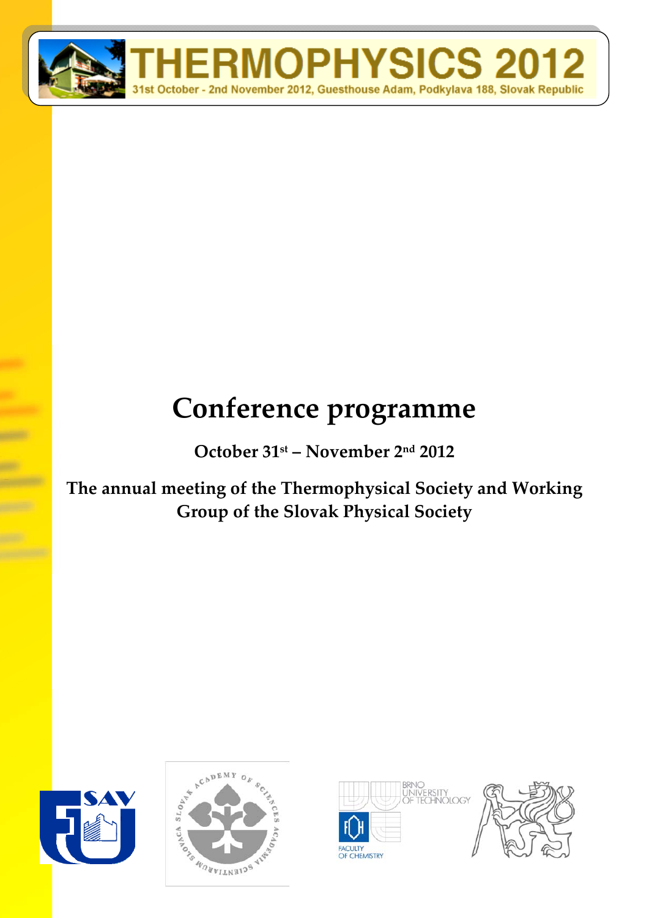

# **Conference programme**

**October 31st – November 2nd 2012**

**The annual meeting of the Thermophysical Society and Working Group of the Slovak Physical Society**







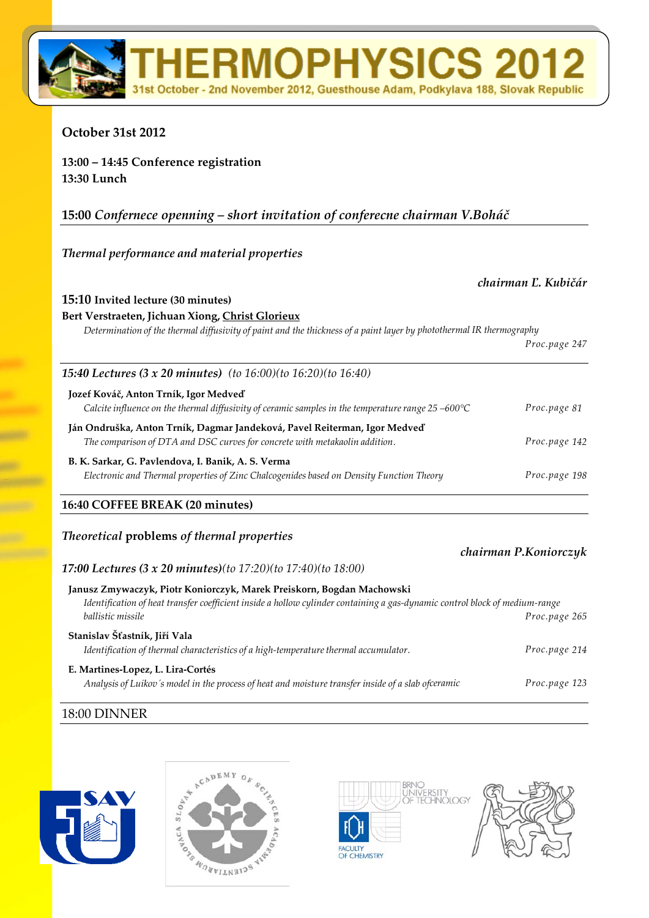## **October 31st 2012**

**13:00 – 14:45 Conference registration 13:30 Lunch**

#### **15:00** *Confernece openning – short invitation of conferecne chairman V.Boháč*

#### *Thermal performance and material properties*

#### *chairman Ľ. Kubičár*

*chairman P.Koniorczyk*

#### **15:10 Invited lecture (30 minutes)**

#### **Bert Verstraeten, Jichuan Xiong, Christ Glorieux**

Determination of the thermal diffusivity of paint and the thickness of a paint layer by photothermal IR thermography

**RMOPHYSICS** 

October - 2nd November 2012, Guesthouse Adam, Podkylava 188, Slovak Republic

|                                                                                                                                                          | Proc.page 247 |
|----------------------------------------------------------------------------------------------------------------------------------------------------------|---------------|
| <b>15:40 Lectures (3 x 20 minutes)</b> (to $16:00$ )(to $16:20$ )(to $16:40$ )                                                                           |               |
| Jozef Kováč, Anton Trník, Igor Medveď<br>Calcite influence on the thermal diffusivity of ceramic samples in the temperature range $25 -600^{\circ}C$     | Proc.page 81  |
| Ján Ondruška, Anton Trník, Dagmar Jandeková, Pavel Reiterman, Igor Medveď<br>The comparison of DTA and DSC curves for concrete with metakaolin addition. | Proc.page 142 |
| B. K. Sarkar, G. Pavlendova, I. Banik, A. S. Verma<br>Electronic and Thermal properties of Zinc Chalcogenides based on Density Function Theory           | Proc.page 198 |

#### **16:40 COFFEE BREAK (20 minutes)**

#### *Theoretical* **problems** *of thermal properties*

#### *17:00 Lectures (3 x 20 minutes)(to 17:20)(to 17:40)(to 18:00)*

| Janusz Zmywaczyk, Piotr Koniorczyk, Marek Preiskorn, Bogdan Machowski                                                       |               |
|-----------------------------------------------------------------------------------------------------------------------------|---------------|
| Identification of heat transfer coefficient inside a hollow cylinder containing a gas-dynamic control block of medium-range |               |
| ballistic missile                                                                                                           | Proc.page 265 |
| Stanislav Šťastník, Jiří Vala                                                                                               |               |
| Identification of thermal characteristics of a high-temperature thermal accumulator.                                        | Proc.page 214 |
| E. Martines-Lopez, L. Lira-Cortés                                                                                           |               |
| Analysis of Luikov's model in the process of heat and moisture transfer inside of a slab ofceramic                          | Proc.page 123 |
|                                                                                                                             |               |

#### 18:00 DINNER





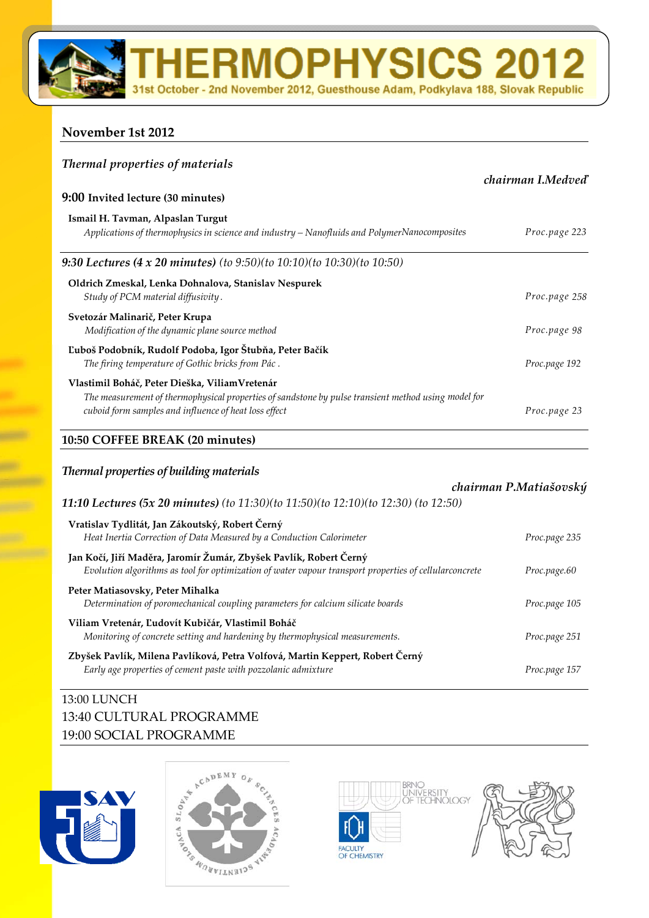**RMOPHYSICS 2** 

October - 2nd November 2012, Guesthouse Adam, Podkylava 188, Slovak Republic

#### **November 1st 2012**

| <b>Thermal properties of materials</b>                                                                                                                                                                         |                   |  |
|----------------------------------------------------------------------------------------------------------------------------------------------------------------------------------------------------------------|-------------------|--|
|                                                                                                                                                                                                                | chairman I.Medved |  |
| 9:00 Invited lecture (30 minutes)                                                                                                                                                                              |                   |  |
| Ismail H. Tavman, Alpaslan Turgut<br>Applications of thermophysics in science and industry – Nanofluids and PolymerNanocomposites                                                                              | Proc.page 223     |  |
| 9:30 Lectures (4 x 20 minutes) (to 9:50)(to 10:10)(to 10:30)(to 10:50)                                                                                                                                         |                   |  |
| Oldrich Zmeskal, Lenka Dohnalova, Stanislav Nespurek<br>Study of PCM material diffusivity.                                                                                                                     | Proc.page 258     |  |
| Svetozár Malinarič, Peter Krupa<br>Modification of the dynamic plane source method                                                                                                                             | Proc.page 98      |  |
| Ľuboš Podobník, Rudolf Podoba, Igor Štubňa, Peter Bačík<br>The firing temperature of Gothic bricks from Pác.                                                                                                   | Proc.page 192     |  |
| Vlastimil Boháč, Peter Dieška, Viliam Vretenár<br>The measurement of thermophysical properties of sandstone by pulse transient method using model for<br>cuboid form samples and influence of heat loss effect | Proc.page 23      |  |
| 10:50 COFFEE BREAK (20 minutes)                                                                                                                                                                                |                   |  |

# *Thermal properties of building materials chairman P.Matiašovský 11:10 Lectures (5x 20 minutes) (to 11:30)(to 11:50)(to 12:10)(to 12:30) (to 12:50)* **Vratislav Tydlitát, Jan Zákoutský, Robert Černý** *Heat Inertia Correction of Data Measured by a Conduction Calorimeter Proc.page 235* **Jan Kočí, Jiří Maděra, Jaromír Žumár, Zbyšek Pavlík, Robert Černý** *Evolution algorithms as tool for optimization of water vapour transport properties of cellularconcrete Proc.page.60* **Peter Matiasovsky, Peter Mihalka** *Determination of poromechanical coupling parameters for calcium silicate boards Proc.page 105*  **Viliam Vretenár, Ľudovít Kubičár, Vlastimil Boháč**  *Monitoring of concrete setting and hardening by thermophysical measurements. Proc.page 251*  **Zbyšek Pavlík, Milena Pavlíková, Petra Volfová, Martin Keppert, Robert Černý** *Early age properties of cement paste with pozzolanic admixture Proc.page 157*

# 13:00 LUNCH 13:40 CULTURAL PROGRAMME 19:00 SOCIAL PROGRAMME